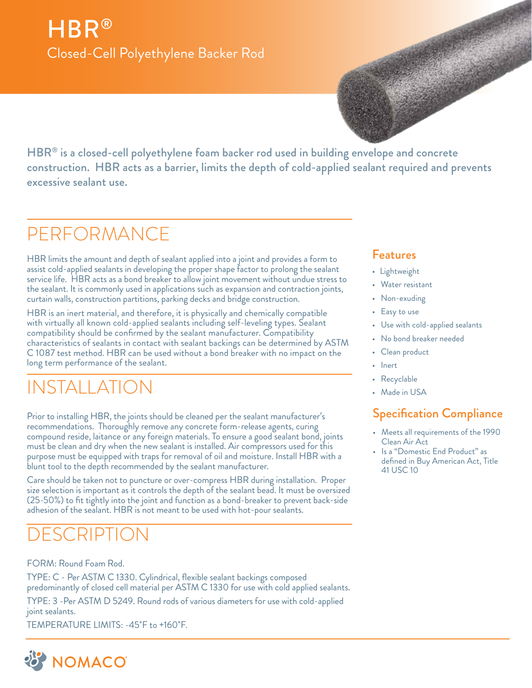# HBR® Closed-Cell Polyethylene Backer Rod

HBR<sup>®</sup> is a closed-cell polyethylene foam backer rod used in building envelope and concrete construction. HBR acts as a barrier, limits the depth of cold-applied sealant required and prevents excessive sealant use.

## PERFORMANCE

HBR limits the amount and depth of sealant applied into a joint and provides a form to assist cold-applied sealants in developing the proper shape factor to prolong the sealant service life. HBR acts as a bond breaker to allow joint movement without undue stress to the sealant. It is commonly used in applications such as expansion and contraction joints, curtain walls, construction partitions, parking decks and bridge construction.

HBR is an inert material, and therefore, it is physically and chemically compatible with virtually all known cold-applied sealants including self-leveling types. Sealant compatibility should be confirmed by the sealant manufacturer. Compatibility characteristics of sealants in contact with sealant backings can be determined by ASTM C 1087 test method. HBR can be used without a bond breaker with no impact on the long term performance of the sealant.

## INSTALLATION

Prior to installing HBR, the joints should be cleaned per the sealant manufacturer's recommendations. Thoroughly remove any concrete form-release agents, curing compound reside, laitance or any foreign materials. To ensure a good sealant bond, joints must be clean and dry when the new sealant is installed. Air compressors used for this purpose must be equipped with traps for removal of oil and moisture. Install HBR with a blunt tool to the depth recommended by the sealant manufacturer.

Care should be taken not to puncture or over-compress HBR during installation. Proper size selection is important as it controls the depth of the sealant bead. It must be oversized (25-50%) to fit tightly into the joint and function as a bond-breaker to prevent back-side adhesion of the sealant. HBR is not meant to be used with hot-pour sealants.

## FSCRIPTION

#### FORM: Round Foam Rod.

TYPE: C - Per ASTM C 1330. Cylindrical, flexible sealant backings composed predominantly of closed cell material per ASTM C 1330 for use with cold applied sealants.

TYPE: 3 -Per ASTM D 5249. Round rods of various diameters for use with cold-applied joint sealants.

TEMPERATURE LIMITS: -45˚F to +160˚F.



#### Features

- Lightweight
- Water resistant
- Non-exuding
- Easy to use
- Use with cold-applied sealants
- No bond breaker needed
- Clean product
- Inert
- Recyclable
- Made in USA

#### Specification Compliance

- Meets all requirements of the 1990 Clean Air Act
- Is a "Domestic End Product" as defined in Buy American Act, Title 41 USC 10